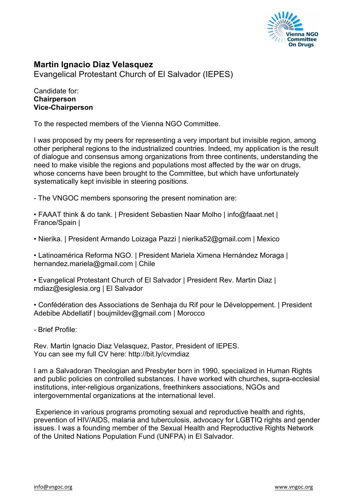

## **Martin Ignacio Diaz Velasquez**

Evangelical Protestant Church of El Salvador (IEPES)

## Candidate for: **Chairperson Vice-Chairperson**

To the respected members of the Vienna NGO Committee.

I was proposed by my peers for representing a very important but invisible region, among other peripheral regions to the industrialized countries. Indeed, my application is the result of dialogue and consensus among organizations from three continents, understanding the need to make visible the regions and populations most affected by the war on drugs, whose concerns have been brought to the Committee, but which have unfortunately systematically kept invisible in steering positions.

- The VNGOC members sponsoring the present nomination are:

• FAAAT think & do tank. | President Sebastien Naar Molho | info@faaat.net | France/Spain |

• Nierika. | President Armando Loizaga Pazzi | nierika52@gmail.com | Mexico

• Latinoamérica Reforma NGO. | President Mariela Ximena Hernández Moraga | hernandez.mariela@gmail.com | Chile

• Evangelical Protestant Church of El Salvador | President Rev. Martin Diaz | mdiaz@esiglesia.org | El Salvador

• Confédération des Associations de Senhaja du Rif pour le Développement. | President Adebibe Abdellatif | boujmildev@gmail.com | Morocco

- Brief Profile:

Rev. Martin Ignacio Diaz Velasquez, Pastor, President of IEPES. You can see my full CV here: http://bit.ly/cvmdiaz

I am a Salvadoran Theologian and Presbyter born in 1990, specialized in Human Rights and public policies on controlled substances. I have worked with churches, supra-ecclesial institutions, inter-religious organizations, freethinkers associations, NGOs and intergovernmental organizations at the international level.

Experience in various programs promoting sexual and reproductive health and rights, prevention of HIV/AIDS, malaria and tuberculosis, advocacy for LGBTIQ rights and gender issues. I was a founding member of the Sexual Health and Reproductive Rights Network of the United Nations Population Fund (UNFPA) in El Salvador.